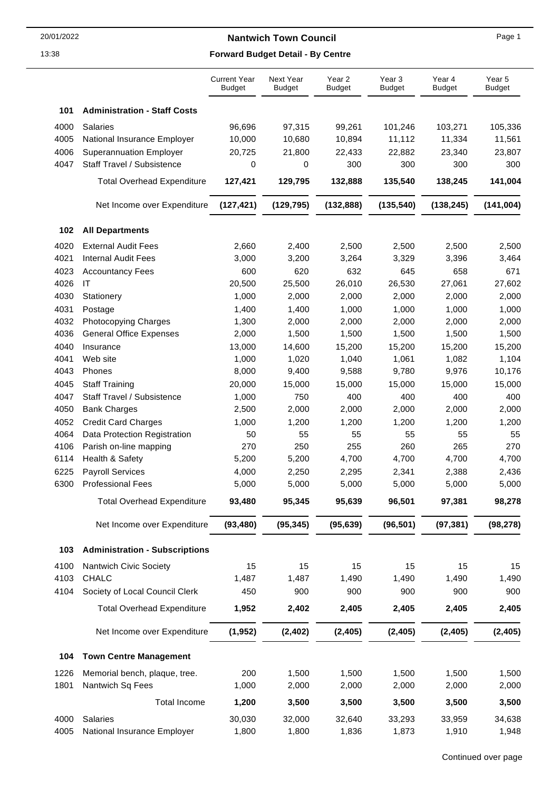|      |                                       | <b>Current Year</b><br><b>Budget</b> | Next Year<br><b>Budget</b> | Year 2<br><b>Budget</b> | Year <sub>3</sub><br><b>Budget</b> | Year 4<br><b>Budget</b> | Year 5<br><b>Budget</b> |
|------|---------------------------------------|--------------------------------------|----------------------------|-------------------------|------------------------------------|-------------------------|-------------------------|
| 101  | <b>Administration - Staff Costs</b>   |                                      |                            |                         |                                    |                         |                         |
| 4000 | <b>Salaries</b>                       | 96,696                               | 97,315                     | 99,261                  | 101,246                            | 103,271                 | 105,336                 |
| 4005 | National Insurance Employer           | 10,000                               | 10,680                     | 10,894                  | 11,112                             | 11,334                  | 11,561                  |
| 4006 | <b>Superannuation Employer</b>        | 20,725                               | 21,800                     | 22,433                  | 22,882                             | 23,340                  | 23,807                  |
| 4047 | Staff Travel / Subsistence            | 0                                    | 0                          | 300                     | 300                                | 300                     | 300                     |
|      | <b>Total Overhead Expenditure</b>     | 127,421                              | 129,795                    | 132,888                 | 135,540                            | 138,245                 | 141,004                 |
|      | Net Income over Expenditure           | (127, 421)                           | (129, 795)                 | (132, 888)              | (135, 540)                         | (138, 245)              | (141, 004)              |
| 102  | <b>All Departments</b>                |                                      |                            |                         |                                    |                         |                         |
| 4020 | <b>External Audit Fees</b>            | 2,660                                | 2,400                      | 2,500                   | 2,500                              | 2,500                   | 2,500                   |
| 4021 | <b>Internal Audit Fees</b>            | 3,000                                | 3,200                      | 3,264                   | 3,329                              | 3,396                   | 3,464                   |
| 4023 | <b>Accountancy Fees</b>               | 600                                  | 620                        | 632                     | 645                                | 658                     | 671                     |
| 4026 | IT                                    | 20,500                               | 25,500                     | 26,010                  | 26,530                             | 27,061                  | 27,602                  |
| 4030 | Stationery                            | 1,000                                | 2,000                      | 2,000                   | 2,000                              | 2,000                   | 2,000                   |
| 4031 | Postage                               | 1,400                                | 1,400                      | 1,000                   | 1,000                              | 1,000                   | 1,000                   |
| 4032 | <b>Photocopying Charges</b>           | 1,300                                | 2,000                      | 2,000                   | 2,000                              | 2,000                   | 2,000                   |
| 4036 | <b>General Office Expenses</b>        | 2,000                                | 1,500                      | 1,500                   | 1,500                              | 1,500                   | 1,500                   |
| 4040 | Insurance                             | 13,000                               | 14,600                     | 15,200                  | 15,200                             | 15,200                  | 15,200                  |
| 4041 | Web site                              | 1,000                                | 1,020                      | 1,040                   | 1,061                              | 1,082                   | 1,104                   |
| 4043 | Phones                                | 8,000                                | 9,400                      | 9,588                   | 9,780                              | 9,976                   | 10,176                  |
| 4045 | <b>Staff Training</b>                 | 20,000                               | 15,000                     | 15,000                  | 15,000                             | 15,000                  | 15,000                  |
| 4047 | Staff Travel / Subsistence            | 1,000                                | 750                        | 400                     | 400                                | 400                     | 400                     |
| 4050 | <b>Bank Charges</b>                   | 2,500                                | 2,000                      | 2,000                   | 2,000                              | 2,000                   | 2,000                   |
| 4052 | <b>Credit Card Charges</b>            | 1,000                                | 1,200                      | 1,200                   | 1,200                              | 1,200                   | 1,200                   |
| 4064 | Data Protection Registration          | 50                                   | 55                         | 55                      | 55                                 | 55                      | 55                      |
| 4106 | Parish on-line mapping                | 270                                  | 250                        | 255                     | 260                                | 265                     | 270                     |
| 6114 | Health & Safety                       | 5,200                                | 5,200                      | 4,700                   | 4,700                              | 4,700                   | 4,700                   |
| 6225 | <b>Payroll Services</b>               | 4,000                                | 2,250                      | 2,295                   | 2,341                              | 2,388                   | 2,436                   |
| 6300 | <b>Professional Fees</b>              | 5,000                                | 5,000                      | 5,000                   | 5,000                              | 5,000                   | 5,000                   |
|      | <b>Total Overhead Expenditure</b>     | 93,480                               | 95,345                     | 95,639                  | 96,501                             | 97,381                  | 98,278                  |
|      | Net Income over Expenditure           | (93, 480)                            | (95, 345)                  | (95, 639)               | (96, 501)                          | (97, 381)               | (98, 278)               |
| 103  | <b>Administration - Subscriptions</b> |                                      |                            |                         |                                    |                         |                         |
| 4100 | Nantwich Civic Society                | 15                                   | 15                         | 15                      | 15                                 | 15                      | 15                      |
| 4103 | CHALC                                 | 1,487                                | 1,487                      | 1,490                   | 1,490                              | 1,490                   | 1,490                   |
| 4104 | Society of Local Council Clerk        | 450                                  | 900                        | 900                     | 900                                | 900                     | 900                     |
|      | <b>Total Overhead Expenditure</b>     | 1,952                                | 2,402                      | 2,405                   | 2,405                              | 2,405                   | 2,405                   |
|      | Net Income over Expenditure           | (1, 952)                             | (2, 402)                   | (2, 405)                | (2, 405)                           | (2, 405)                | (2, 405)                |
| 104  | <b>Town Centre Management</b>         |                                      |                            |                         |                                    |                         |                         |
| 1226 | Memorial bench, plaque, tree.         | 200                                  | 1,500                      | 1,500                   | 1,500                              | 1,500                   | 1,500                   |
| 1801 | Nantwich Sq Fees                      | 1,000                                | 2,000                      | 2,000                   | 2,000                              | 2,000                   | 2,000                   |
|      | <b>Total Income</b>                   | 1,200                                | 3,500                      | 3,500                   | 3,500                              | 3,500                   | 3,500                   |
| 4000 | <b>Salaries</b>                       | 30,030                               | 32,000                     | 32,640                  | 33,293                             | 33,959                  | 34,638                  |
| 4005 | National Insurance Employer           | 1,800                                | 1,800                      | 1,836                   | 1,873                              | 1,910                   | 1,948                   |
|      |                                       |                                      |                            |                         |                                    |                         |                         |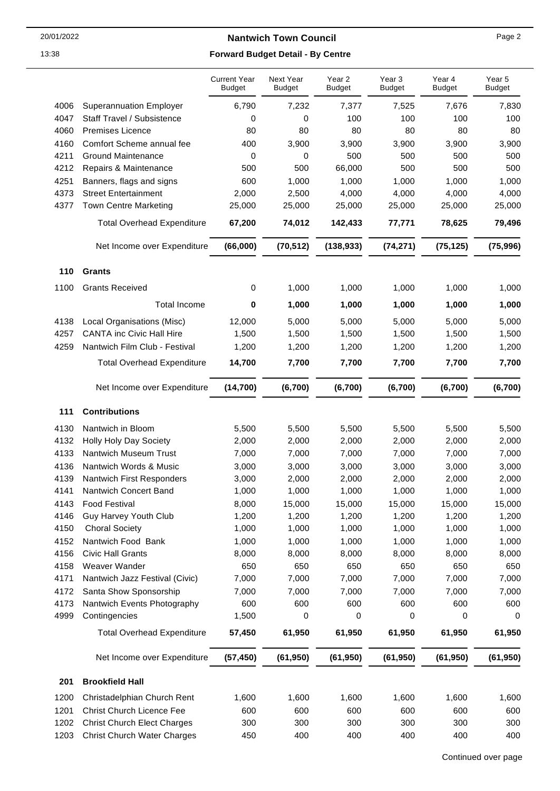|--|--|

|      |                                    | <b>Current Year</b><br><b>Budget</b> | Next Year<br><b>Budget</b> | Year 2<br><b>Budget</b> | Year 3<br><b>Budget</b> | Year 4<br><b>Budget</b> | Year 5<br><b>Budget</b> |
|------|------------------------------------|--------------------------------------|----------------------------|-------------------------|-------------------------|-------------------------|-------------------------|
| 4006 | <b>Superannuation Employer</b>     | 6,790                                | 7,232                      | 7,377                   | 7,525                   | 7,676                   | 7,830                   |
| 4047 | Staff Travel / Subsistence         | 0                                    | 0                          | 100                     | 100                     | 100                     | 100                     |
| 4060 | <b>Premises Licence</b>            | 80                                   | 80                         | 80                      | 80                      | 80                      | 80                      |
| 4160 | Comfort Scheme annual fee          | 400                                  | 3,900                      | 3,900                   | 3,900                   | 3,900                   | 3,900                   |
| 4211 | <b>Ground Maintenance</b>          | 0                                    | 0                          | 500                     | 500                     | 500                     | 500                     |
| 4212 | Repairs & Maintenance              | 500                                  | 500                        | 66,000                  | 500                     | 500                     | 500                     |
| 4251 | Banners, flags and signs           | 600                                  | 1,000                      | 1,000                   | 1,000                   | 1,000                   | 1,000                   |
| 4373 | <b>Street Entertainment</b>        | 2,000                                | 2,500                      | 4,000                   | 4,000                   | 4,000                   | 4,000                   |
| 4377 | <b>Town Centre Marketing</b>       | 25,000                               | 25,000                     | 25,000                  | 25,000                  | 25,000                  | 25,000                  |
|      | <b>Total Overhead Expenditure</b>  | 67,200                               | 74,012                     | 142,433                 | 77,771                  | 78,625                  | 79,496                  |
|      | Net Income over Expenditure        | (66,000)                             | (70, 512)                  | (138, 933)              | (74, 271)               | (75, 125)               | (75, 996)               |
|      |                                    |                                      |                            |                         |                         |                         |                         |
| 110  | <b>Grants</b>                      |                                      |                            |                         |                         |                         |                         |
| 1100 | <b>Grants Received</b>             | 0                                    | 1,000                      | 1,000                   | 1,000                   | 1,000                   | 1,000                   |
|      | <b>Total Income</b>                | 0                                    | 1,000                      | 1,000                   | 1,000                   | 1,000                   | 1,000                   |
| 4138 | Local Organisations (Misc)         | 12,000                               | 5,000                      | 5,000                   | 5,000                   | 5,000                   | 5,000                   |
| 4257 | <b>CANTA inc Civic Hall Hire</b>   | 1,500                                | 1,500                      | 1,500                   | 1,500                   | 1,500                   | 1,500                   |
| 4259 | Nantwich Film Club - Festival      | 1,200                                | 1,200                      | 1,200                   | 1,200                   | 1,200                   | 1,200                   |
|      | <b>Total Overhead Expenditure</b>  | 14,700                               | 7,700                      | 7,700                   | 7,700                   | 7,700                   | 7,700                   |
|      | Net Income over Expenditure        | (14, 700)                            | (6,700)                    | (6,700)                 | (6,700)                 | (6,700)                 | (6,700)                 |
| 111  | <b>Contributions</b>               |                                      |                            |                         |                         |                         |                         |
| 4130 | Nantwich in Bloom                  | 5,500                                | 5,500                      | 5,500                   | 5,500                   | 5,500                   | 5,500                   |
| 4132 | Holly Holy Day Society             | 2,000                                | 2,000                      | 2,000                   | 2,000                   | 2,000                   | 2,000                   |
| 4133 | Nantwich Museum Trust              | 7,000                                | 7,000                      | 7,000                   | 7,000                   | 7,000                   | 7,000                   |
| 4136 | Nantwich Words & Music             | 3,000                                | 3,000                      | 3,000                   | 3,000                   | 3,000                   | 3,000                   |
| 4139 | Nantwich First Responders          | 3,000                                | 2,000                      | 2,000                   | 2,000                   | 2,000                   | 2,000                   |
| 4141 | <b>Nantwich Concert Band</b>       | 1,000                                | 1,000                      | 1,000                   | 1,000                   | 1,000                   | 1,000                   |
| 4143 | <b>Food Festival</b>               | 8,000                                | 15,000                     | 15,000                  | 15,000                  | 15,000                  | 15,000                  |
| 4146 | Guy Harvey Youth Club              | 1,200                                | 1,200                      | 1,200                   | 1,200                   | 1,200                   | 1,200                   |
| 4150 | <b>Choral Society</b>              | 1,000                                | 1,000                      | 1,000                   | 1,000                   | 1,000                   | 1,000                   |
| 4152 | Nantwich Food Bank                 | 1,000                                | 1,000                      | 1,000                   | 1,000                   | 1,000                   | 1,000                   |
| 4156 | <b>Civic Hall Grants</b>           | 8,000                                | 8,000                      | 8,000                   | 8,000                   | 8,000                   | 8,000                   |
| 4158 | Weaver Wander                      | 650                                  | 650                        | 650                     | 650                     | 650                     | 650                     |
| 4171 | Nantwich Jazz Festival (Civic)     | 7,000                                | 7,000                      | 7,000                   | 7,000                   | 7,000                   | 7,000                   |
| 4172 | Santa Show Sponsorship             | 7,000                                | 7,000                      | 7,000                   | 7,000                   | 7,000                   | 7,000                   |
| 4173 | Nantwich Events Photography        | 600                                  | 600                        | 600                     | 600                     | 600                     | 600                     |
| 4999 | Contingencies                      | 1,500                                | 0                          | 0                       | 0                       | 0                       | 0                       |
|      | <b>Total Overhead Expenditure</b>  | 57,450                               | 61,950                     | 61,950                  | 61,950                  | 61,950                  | 61,950                  |
|      | Net Income over Expenditure        | (57, 450)                            | (61, 950)                  | (61, 950)               | (61, 950)               | (61, 950)               | (61, 950)               |
| 201  | <b>Brookfield Hall</b>             |                                      |                            |                         |                         |                         |                         |
| 1200 | Christadelphian Church Rent        | 1,600                                | 1,600                      | 1,600                   | 1,600                   | 1,600                   | 1,600                   |
| 1201 | <b>Christ Church Licence Fee</b>   | 600                                  | 600                        | 600                     | 600                     | 600                     | 600                     |
| 1202 | <b>Christ Church Elect Charges</b> | 300                                  | 300                        | 300                     | 300                     | 300                     | 300                     |
| 1203 | <b>Christ Church Water Charges</b> | 450                                  | 400                        | 400                     | 400                     | 400                     | 400                     |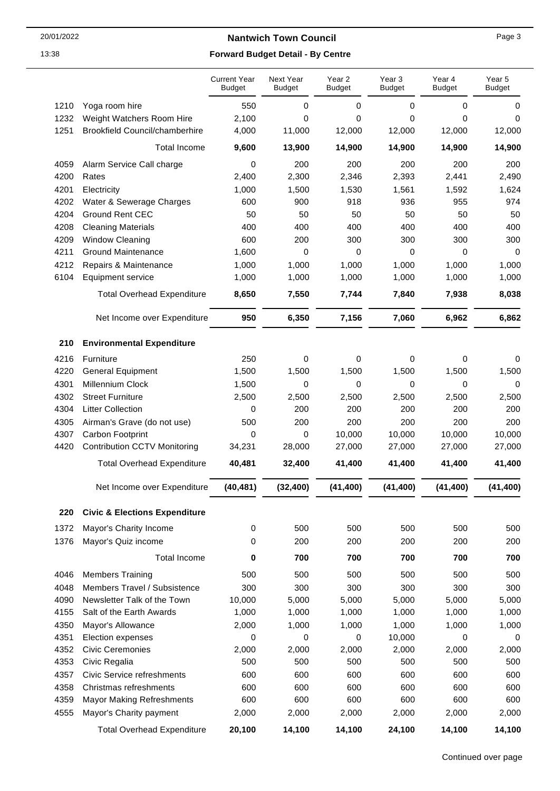|      |                                          | <b>Current Year</b><br><b>Budget</b> | Next Year<br><b>Budget</b> | Year 2<br><b>Budget</b> | Year 3<br><b>Budget</b> | Year 4<br><b>Budget</b> | Year 5<br><b>Budget</b> |
|------|------------------------------------------|--------------------------------------|----------------------------|-------------------------|-------------------------|-------------------------|-------------------------|
| 1210 | Yoga room hire                           | 550                                  | 0                          | 0                       | 0                       | 0                       | 0                       |
| 1232 | Weight Watchers Room Hire                | 2,100                                | 0                          | 0                       | 0                       | 0                       | 0                       |
| 1251 | <b>Brookfield Council/chamberhire</b>    | 4,000                                | 11,000                     | 12,000                  | 12,000                  | 12,000                  | 12,000                  |
|      | <b>Total Income</b>                      | 9,600                                | 13,900                     | 14,900                  | 14,900                  | 14,900                  | 14,900                  |
| 4059 | Alarm Service Call charge                | 0                                    | 200                        | 200                     | 200                     | 200                     | 200                     |
| 4200 | Rates                                    | 2,400                                | 2,300                      | 2,346                   | 2,393                   | 2,441                   | 2,490                   |
| 4201 | Electricity                              | 1,000                                | 1,500                      | 1,530                   | 1,561                   | 1,592                   | 1,624                   |
| 4202 | Water & Sewerage Charges                 | 600                                  | 900                        | 918                     | 936                     | 955                     | 974                     |
| 4204 | <b>Ground Rent CEC</b>                   | 50                                   | 50                         | 50                      | 50                      | 50                      | 50                      |
| 4208 | <b>Cleaning Materials</b>                | 400                                  | 400                        | 400                     | 400                     | 400                     | 400                     |
| 4209 | Window Cleaning                          | 600                                  | 200                        | 300                     | 300                     | 300                     | 300                     |
| 4211 | <b>Ground Maintenance</b>                | 1,600                                | 0                          | $\mathbf 0$             | 0                       | 0                       | 0                       |
| 4212 | Repairs & Maintenance                    | 1,000                                | 1,000                      | 1,000                   | 1,000                   | 1,000                   | 1,000                   |
| 6104 | <b>Equipment service</b>                 | 1,000                                | 1,000                      | 1,000                   | 1,000                   | 1,000                   | 1,000                   |
|      | <b>Total Overhead Expenditure</b>        | 8,650                                | 7,550                      | 7,744                   | 7,840                   | 7,938                   | 8,038                   |
|      |                                          | 950                                  |                            |                         |                         |                         |                         |
|      | Net Income over Expenditure              |                                      | 6,350                      | 7,156                   | 7,060                   | 6,962                   | 6,862                   |
| 210  | <b>Environmental Expenditure</b>         |                                      |                            |                         |                         |                         |                         |
| 4216 | Furniture                                | 250                                  | 0                          | 0                       | 0                       | 0                       | 0                       |
| 4220 | <b>General Equipment</b>                 | 1,500                                | 1,500                      | 1,500                   | 1,500                   | 1,500                   | 1,500                   |
| 4301 | Millennium Clock                         | 1,500                                | 0                          | 0                       | 0                       | 0                       | 0                       |
| 4302 | <b>Street Furniture</b>                  | 2,500                                | 2,500                      | 2,500                   | 2,500                   | 2,500                   | 2,500                   |
| 4304 | <b>Litter Collection</b>                 | 0                                    | 200                        | 200                     | 200                     | 200                     | 200                     |
| 4305 | Airman's Grave (do not use)              | 500                                  | 200                        | 200                     | 200                     | 200                     | 200                     |
| 4307 | Carbon Footprint                         | 0                                    | 0                          | 10,000                  | 10,000                  | 10,000                  | 10,000                  |
| 4420 | <b>Contribution CCTV Monitoring</b>      | 34,231                               | 28,000                     | 27,000                  | 27,000                  | 27,000                  | 27,000                  |
|      | <b>Total Overhead Expenditure</b>        | 40,481                               | 32,400                     | 41,400                  | 41,400                  | 41,400                  | 41,400                  |
|      | Net Income over Expenditure              | (40, 481)                            | (32, 400)                  | (41, 400)               | (41, 400)               | (41, 400)               | (41, 400)               |
| 220  | <b>Civic &amp; Elections Expenditure</b> |                                      |                            |                         |                         |                         |                         |
| 1372 | Mayor's Charity Income                   | 0                                    | 500                        | 500                     | 500                     | 500                     | 500                     |
| 1376 | Mayor's Quiz income                      | 0                                    | 200                        | 200                     | 200                     | 200                     | 200                     |
|      | <b>Total Income</b>                      | $\pmb{0}$                            | 700                        | 700                     | 700                     | 700                     | 700                     |
| 4046 | <b>Members Training</b>                  | 500                                  | 500                        | 500                     | 500                     | 500                     | 500                     |
| 4048 | Members Travel / Subsistence             | 300                                  | 300                        | 300                     | 300                     | 300                     | 300                     |
| 4090 | Newsletter Talk of the Town              | 10,000                               | 5,000                      | 5,000                   | 5,000                   | 5,000                   | 5,000                   |
| 4155 | Salt of the Earth Awards                 | 1,000                                | 1,000                      | 1,000                   | 1,000                   | 1,000                   | 1,000                   |
| 4350 | Mayor's Allowance                        | 2,000                                | 1,000                      | 1,000                   | 1,000                   | 1,000                   | 1,000                   |
| 4351 | Election expenses                        | 0                                    | 0                          | 0                       | 10,000                  | 0                       | 0                       |
| 4352 | <b>Civic Ceremonies</b>                  | 2,000                                | 2,000                      | 2,000                   | 2,000                   | 2,000                   | 2,000                   |
| 4353 | Civic Regalia                            | 500                                  | 500                        | 500                     | 500                     | 500                     | 500                     |
| 4357 | Civic Service refreshments               | 600                                  | 600                        | 600                     | 600                     | 600                     | 600                     |
| 4358 | Christmas refreshments                   | 600                                  | 600                        | 600                     | 600                     | 600                     | 600                     |
| 4359 | <b>Mayor Making Refreshments</b>         | 600                                  | 600                        | 600                     | 600                     | 600                     | 600                     |
| 4555 | Mayor's Charity payment                  | 2,000                                | 2,000                      | 2,000                   | 2,000                   | 2,000                   | 2,000                   |
|      | <b>Total Overhead Expenditure</b>        | 20,100                               | 14,100                     | 14,100                  | 24,100                  | 14,100                  | 14,100                  |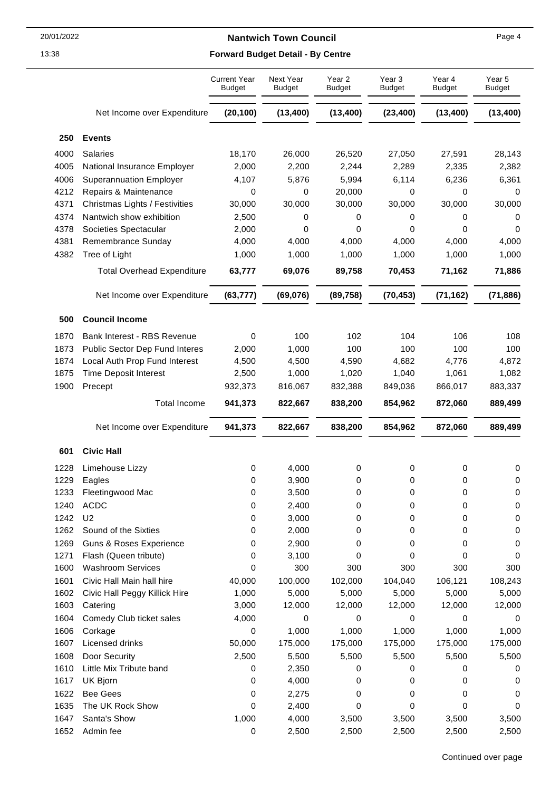## 13:38 **Forward Budget Detail - By Centre**

|      |                                    | <b>Current Year</b><br><b>Budget</b> | Next Year<br><b>Budget</b> | Year <sub>2</sub><br><b>Budget</b> | Year 3<br><b>Budget</b> | Year 4<br><b>Budget</b> | Year 5<br><b>Budget</b> |
|------|------------------------------------|--------------------------------------|----------------------------|------------------------------------|-------------------------|-------------------------|-------------------------|
|      | Net Income over Expenditure        | (20, 100)                            | (13, 400)                  | (13, 400)                          | (23, 400)               | (13, 400)               | (13, 400)               |
| 250  | <b>Events</b>                      |                                      |                            |                                    |                         |                         |                         |
| 4000 | Salaries                           | 18,170                               | 26,000                     | 26,520                             | 27,050                  | 27,591                  | 28,143                  |
| 4005 | National Insurance Employer        | 2,000                                | 2,200                      | 2,244                              | 2,289                   | 2,335                   | 2,382                   |
| 4006 | <b>Superannuation Employer</b>     | 4,107                                | 5,876                      | 5,994                              | 6,114                   | 6,236                   | 6,361                   |
| 4212 | Repairs & Maintenance              | 0                                    | 0                          | 20,000                             | 0                       | 0                       | 0                       |
| 4371 | Christmas Lights / Festivities     | 30,000                               | 30,000                     | 30,000                             | 30,000                  | 30,000                  | 30,000                  |
| 4374 | Nantwich show exhibition           | 2,500                                | 0                          | 0                                  | 0                       | 0                       | 0                       |
| 4378 | Societies Spectacular              | 2,000                                | 0                          | 0                                  | 0                       | 0                       | 0                       |
| 4381 | Remembrance Sunday                 | 4,000                                | 4,000                      | 4,000                              | 4,000                   | 4,000                   | 4,000                   |
| 4382 | Tree of Light                      | 1,000                                | 1,000                      | 1,000                              | 1,000                   | 1,000                   | 1,000                   |
|      | <b>Total Overhead Expenditure</b>  | 63,777                               | 69,076                     | 89,758                             | 70,453                  | 71,162                  | 71,886                  |
|      | Net Income over Expenditure        | (63, 777)                            | (69, 076)                  | (89, 758)                          | (70, 453)               | (71, 162)               | (71, 886)               |
|      |                                    |                                      |                            |                                    |                         |                         |                         |
| 500  | <b>Council Income</b>              |                                      |                            |                                    |                         |                         |                         |
| 1870 | Bank Interest - RBS Revenue        | $\mathbf 0$                          | 100                        | 102                                | 104                     | 106                     | 108                     |
| 1873 | Public Sector Dep Fund Interes     | 2,000                                | 1,000                      | 100                                | 100                     | 100                     | 100                     |
| 1874 | Local Auth Prop Fund Interest      | 4,500                                | 4,500                      | 4,590                              | 4,682                   | 4,776                   | 4,872                   |
| 1875 | <b>Time Deposit Interest</b>       | 2,500                                | 1,000                      | 1,020                              | 1,040                   | 1,061                   | 1,082                   |
| 1900 | Precept                            | 932,373                              | 816,067                    | 832,388                            | 849,036                 | 866,017                 | 883,337                 |
|      | <b>Total Income</b>                | 941,373                              | 822,667                    | 838,200                            | 854,962                 | 872,060                 | 889,499                 |
|      | Net Income over Expenditure        | 941,373                              | 822,667                    | 838,200                            | 854,962                 | 872,060                 | 889,499                 |
| 601  | <b>Civic Hall</b>                  |                                      |                            |                                    |                         |                         |                         |
| 1228 | Limehouse Lizzy                    | 0                                    | 4,000                      | 0                                  | 0                       | 0                       | 0                       |
| 1229 | Eagles                             | 0                                    | 3,900                      | 0                                  | 0                       | 0                       | 0                       |
| 1233 | Fleetingwood Mac                   | 0                                    | 3,500                      | U                                  | 0                       | 0                       | $\Omega$                |
| 1240 | <b>ACDC</b>                        | 0                                    | 2,400                      | 0                                  | 0                       | 0                       | 0                       |
| 1242 | U <sub>2</sub>                     | 0                                    | 3,000                      | 0                                  | 0                       | 0                       | 0                       |
| 1262 | Sound of the Sixties               | 0                                    | 2,000                      | 0                                  | 0                       | 0                       | 0                       |
| 1269 | <b>Guns &amp; Roses Experience</b> | 0                                    | 2,900                      | 0                                  | 0                       | 0                       | 0                       |
| 1271 | Flash (Queen tribute)              | 0                                    | 3,100                      | 0                                  | 0                       | 0                       | 0                       |
| 1600 | <b>Washroom Services</b>           | 0                                    | 300                        | 300                                | 300                     | 300                     | 300                     |
| 1601 | Civic Hall Main hall hire          | 40,000                               | 100,000                    | 102,000                            | 104,040                 | 106,121                 | 108,243                 |
| 1602 | Civic Hall Peggy Killick Hire      | 1,000                                | 5,000                      | 5,000                              | 5,000                   | 5,000                   | 5,000                   |
| 1603 | Catering                           | 3,000                                | 12,000                     | 12,000                             | 12,000                  | 12,000                  | 12,000                  |
| 1604 | Comedy Club ticket sales           | 4,000                                | 0                          | 0                                  | 0                       | 0                       | 0                       |
| 1606 | Corkage                            | 0                                    | 1,000                      | 1,000                              | 1,000                   | 1,000                   | 1,000                   |
| 1607 | Licensed drinks                    | 50,000                               | 175,000                    | 175,000                            | 175,000                 | 175,000                 | 175,000                 |
| 1608 | Door Security                      | 2,500                                | 5,500                      | 5,500                              | 5,500                   | 5,500                   | 5,500                   |
| 1610 | Little Mix Tribute band            | 0                                    | 2,350                      | 0                                  | 0                       | 0                       | 0                       |
| 1617 | UK Bjorn                           | 0                                    | 4,000                      | 0                                  | 0                       | 0                       | 0                       |
| 1622 | <b>Bee Gees</b>                    | 0                                    | 2,275                      | 0                                  | 0                       | 0                       | 0                       |
| 1635 | The UK Rock Show                   | 0                                    | 2,400                      | 0                                  | 0                       | 0                       | 0                       |
| 1647 | Santa's Show                       | 1,000                                | 4,000                      | 3,500                              | 3,500                   | 3,500                   | 3,500                   |
| 1652 | Admin fee                          | 0                                    | 2,500                      | 2,500                              | 2,500                   | 2,500                   | 2,500                   |

Page 4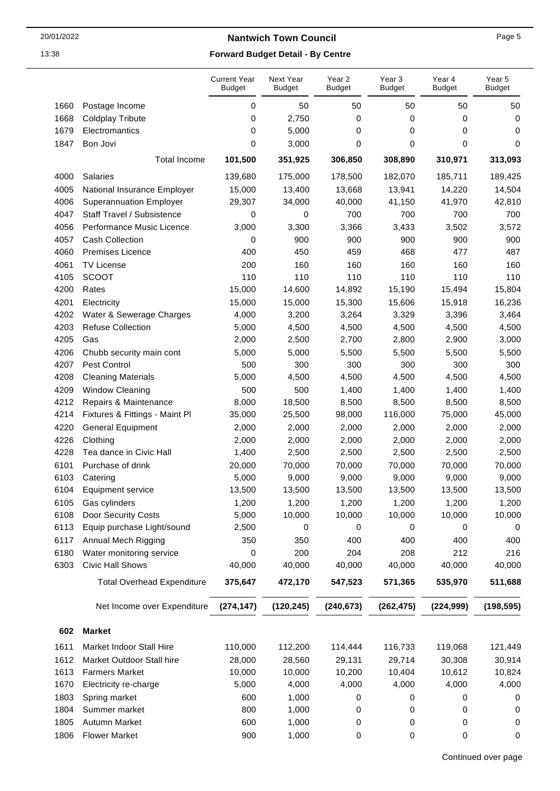|      |                                   | <b>Current Year</b><br><b>Budget</b> | Next Year<br><b>Budget</b> | Year 2<br><b>Budget</b> | Year <sub>3</sub><br><b>Budget</b> | Year 4<br><b>Budget</b> | Year 5<br><b>Budget</b> |
|------|-----------------------------------|--------------------------------------|----------------------------|-------------------------|------------------------------------|-------------------------|-------------------------|
| 1660 | Postage Income                    | 0                                    | 50                         | 50                      | 50                                 | 50                      | 50                      |
| 1668 | <b>Coldplay Tribute</b>           | 0                                    | 2,750                      | 0                       | 0                                  | 0                       | 0                       |
| 1679 | Electromantics                    | 0                                    | 5,000                      | 0                       | 0                                  | 0                       | 0                       |
| 1847 | Bon Jovi                          | 0                                    | 3,000                      | 0                       | 0                                  | 0                       | 0                       |
|      | <b>Total Income</b>               | 101,500                              | 351,925                    | 306,850                 | 308,890                            | 310,971                 | 313,093                 |
| 4000 | <b>Salaries</b>                   | 139,680                              | 175,000                    | 178,500                 | 182,070                            | 185,711                 | 189,425                 |
| 4005 | National Insurance Employer       | 15,000                               | 13,400                     | 13,668                  | 13,941                             | 14,220                  | 14,504                  |
| 4006 | <b>Superannuation Employer</b>    | 29,307                               | 34,000                     | 40,000                  | 41,150                             | 41,970                  | 42,810                  |
| 4047 | Staff Travel / Subsistence        | 0                                    | 0                          | 700                     | 700                                | 700                     | 700                     |
| 4056 | Performance Music Licence         | 3,000                                | 3,300                      | 3,366                   | 3,433                              | 3,502                   | 3,572                   |
| 4057 | <b>Cash Collection</b>            | 0                                    | 900                        | 900                     | 900                                | 900                     | 900                     |
| 4060 | <b>Premises Licence</b>           | 400                                  | 450                        | 459                     | 468                                | 477                     | 487                     |
| 4061 | <b>TV License</b>                 | 200                                  | 160                        | 160                     | 160                                | 160                     | 160                     |
| 4105 | <b>SCOOT</b>                      | 110                                  | 110                        | 110                     | 110                                | 110                     | 110                     |
| 4200 | Rates                             | 15,000                               | 14,600                     | 14,892                  | 15,190                             | 15,494                  | 15,804                  |
| 4201 | Electricity                       | 15,000                               | 15,000                     | 15,300                  | 15,606                             | 15,918                  | 16,236                  |
| 4202 | Water & Sewerage Charges          | 4,000                                | 3,200                      | 3,264                   | 3,329                              | 3,396                   | 3,464                   |
| 4203 | <b>Refuse Collection</b>          | 5,000                                | 4,500                      | 4,500                   | 4,500                              | 4,500                   | 4,500                   |
| 4205 | Gas                               | 2,000                                | 2,500                      | 2,700                   | 2,800                              | 2,900                   | 3,000                   |
| 4206 | Chubb security main cont          | 5,000                                | 5,000                      | 5,500                   | 5,500                              | 5,500                   | 5,500                   |
| 4207 | Pest Control                      | 500                                  | 300                        | 300                     | 300                                | 300                     | 300                     |
| 4208 | <b>Cleaning Materials</b>         | 5,000                                | 4,500                      | 4,500                   | 4,500                              | 4,500                   | 4,500                   |
| 4209 | <b>Window Cleaning</b>            | 500                                  | 500                        | 1,400                   | 1,400                              | 1,400                   | 1,400                   |
| 4212 | Repairs & Maintenance             | 8,000                                | 18,500                     | 8,500                   | 8,500                              | 8,500                   | 8,500                   |
| 4214 | Fixtures & Fittings - Maint Pl    | 35,000                               | 25,500                     | 98,000                  | 116,000                            | 75,000                  | 45,000                  |
| 4220 | <b>General Equipment</b>          | 2,000                                | 2,000                      | 2,000                   | 2,000                              | 2,000                   | 2,000                   |
| 4226 | Clothing                          | 2,000                                | 2,000                      | 2,000                   | 2,000                              | 2,000                   | 2,000                   |
| 4228 | Tea dance in Civic Hall           | 1,400                                | 2,500                      | 2,500                   | 2,500                              | 2,500                   | 2,500                   |
| 6101 | Purchase of drink                 | 20,000                               | 70,000                     | 70,000                  | 70,000                             | 70,000                  | 70,000                  |
| 6103 | Catering                          | 5,000                                | 9,000                      | 9,000                   | 9,000                              | 9,000                   | 9,000                   |
| 6104 | Equipment service                 | 13,500                               | 13,500                     | 13,500                  | 13,500                             | 13,500                  | 13,500                  |
| 6105 | Gas cylinders                     | 1,200                                | 1,200                      | 1,200                   | 1,200                              | 1,200                   | 1,200                   |
| 6108 | Door Security Costs               | 5,000                                | 10,000                     | 10,000                  | 10,000                             | 10,000                  | 10,000                  |
| 6113 | Equip purchase Light/sound        | 2,500                                | 0                          | 0                       | 0                                  | 0                       | 0                       |
| 6117 | Annual Mech Rigging               | 350                                  | 350                        | 400                     | 400                                | 400                     | 400                     |
| 6180 | Water monitoring service          | 0                                    | 200                        | 204                     | 208                                | 212                     | 216                     |
| 6303 | Civic Hall Shows                  | 40,000                               | 40,000                     | 40,000                  | 40,000                             | 40,000                  | 40,000                  |
|      | <b>Total Overhead Expenditure</b> | 375,647                              | 472,170                    | 547,523                 | 571,365                            | 535,970                 | 511,688                 |
|      | Net Income over Expenditure       | (274, 147)                           | (120, 245)                 | (240, 673)              | (262, 475)                         | (224, 999)              | (198, 595)              |
|      |                                   |                                      |                            |                         |                                    |                         |                         |
| 602  | <b>Market</b>                     |                                      |                            |                         |                                    |                         |                         |
| 1611 | Market Indoor Stall Hire          | 110,000                              | 112,200                    | 114,444                 | 116,733                            | 119,068                 | 121,449                 |
| 1612 | Market Outdoor Stall hire         | 28,000                               | 28,560                     | 29,131                  | 29,714                             | 30,308                  | 30,914                  |
| 1613 | <b>Farmers Market</b>             | 10,000                               | 10,000                     | 10,200                  | 10,404                             | 10,612                  | 10,824                  |
| 1670 | Electricity re-charge             | 5,000                                | 4,000                      | 4,000                   | 4,000                              | 4,000                   | 4,000                   |
| 1803 | Spring market                     | 600                                  | 1,000                      | 0                       | 0                                  | 0                       | 0                       |
| 1804 | Summer market                     | 800                                  | 1,000                      | 0                       | 0                                  | 0                       | 0                       |
| 1805 | Autumn Market                     | 600                                  | 1,000                      | 0                       | 0                                  | 0                       | 0                       |
| 1806 | <b>Flower Market</b>              | 900                                  | 1,000                      | 0                       | 0                                  | 0                       | 0                       |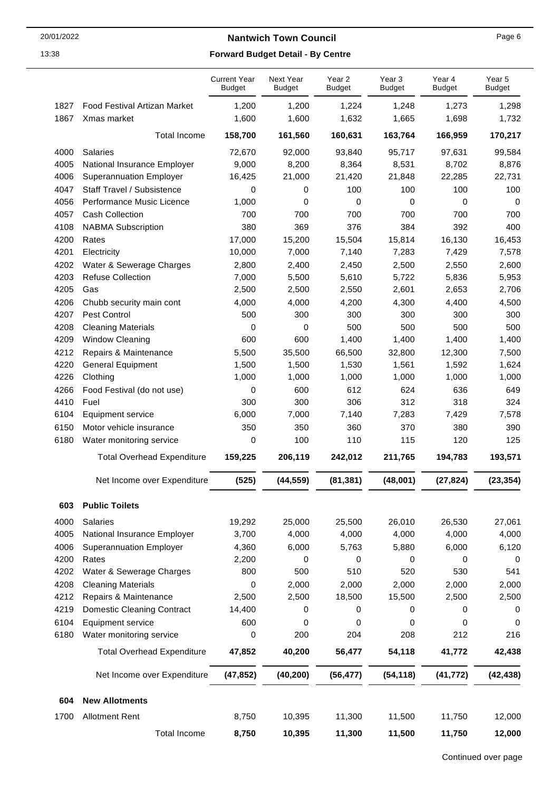|      |                                     | <b>Current Year</b><br><b>Budget</b> | Next Year<br><b>Budget</b> | Year 2<br><b>Budget</b> | Year 3<br><b>Budget</b> | Year 4<br><b>Budget</b> | Year 5<br><b>Budget</b> |
|------|-------------------------------------|--------------------------------------|----------------------------|-------------------------|-------------------------|-------------------------|-------------------------|
| 1827 | <b>Food Festival Artizan Market</b> | 1,200                                | 1,200                      | 1,224                   | 1,248                   | 1,273                   | 1,298                   |
| 1867 | Xmas market                         | 1,600                                | 1,600                      | 1,632                   | 1,665                   | 1,698                   | 1,732                   |
|      | <b>Total Income</b>                 | 158,700                              | 161,560                    | 160,631                 | 163,764                 | 166,959                 | 170,217                 |
| 4000 | Salaries                            | 72,670                               | 92,000                     | 93,840                  | 95,717                  | 97,631                  | 99,584                  |
| 4005 | National Insurance Employer         | 9,000                                | 8,200                      | 8,364                   | 8,531                   | 8,702                   | 8,876                   |
| 4006 | <b>Superannuation Employer</b>      | 16,425                               | 21,000                     | 21,420                  | 21,848                  | 22,285                  | 22,731                  |
| 4047 | Staff Travel / Subsistence          | 0                                    | 0                          | 100                     | 100                     | 100                     | 100                     |
| 4056 | Performance Music Licence           | 1,000                                | 0                          | 0                       | 0                       | 0                       | 0                       |
| 4057 | Cash Collection                     | 700                                  | 700                        | 700                     | 700                     | 700                     | 700                     |
| 4108 | <b>NABMA Subscription</b>           | 380                                  | 369                        | 376                     | 384                     | 392                     | 400                     |
| 4200 | Rates                               | 17,000                               | 15,200                     | 15,504                  | 15,814                  | 16,130                  | 16,453                  |
| 4201 | Electricity                         | 10,000                               | 7,000                      | 7,140                   | 7,283                   | 7,429                   | 7,578                   |
| 4202 | Water & Sewerage Charges            | 2,800                                | 2,400                      | 2,450                   | 2,500                   | 2,550                   | 2,600                   |
| 4203 | <b>Refuse Collection</b>            | 7,000                                | 5,500                      | 5,610                   | 5,722                   | 5,836                   | 5,953                   |
| 4205 | Gas                                 | 2,500                                | 2,500                      | 2,550                   | 2,601                   | 2,653                   | 2,706                   |
| 4206 | Chubb security main cont            | 4,000                                | 4,000                      | 4,200                   | 4,300                   | 4,400                   | 4,500                   |
| 4207 | Pest Control                        | 500                                  | 300                        | 300                     | 300                     | 300                     | 300                     |
| 4208 | <b>Cleaning Materials</b>           | 0                                    | 0                          | 500                     | 500                     | 500                     | 500                     |
| 4209 | Window Cleaning                     | 600                                  | 600                        | 1,400                   | 1,400                   | 1,400                   | 1,400                   |
| 4212 | Repairs & Maintenance               | 5,500                                | 35,500                     | 66,500                  | 32,800                  | 12,300                  | 7,500                   |
| 4220 | <b>General Equipment</b>            | 1,500                                | 1,500                      | 1,530                   | 1,561                   | 1,592                   | 1,624                   |
| 4226 | Clothing                            | 1,000                                | 1,000                      | 1,000                   | 1,000                   | 1,000                   | 1,000                   |
| 4266 | Food Festival (do not use)          | 0                                    | 600                        | 612                     | 624                     | 636                     | 649                     |
| 4410 | Fuel                                | 300                                  | 300                        | 306                     | 312                     | 318                     | 324                     |
| 6104 | <b>Equipment service</b>            | 6,000                                | 7,000                      | 7,140                   | 7,283                   | 7,429                   | 7,578                   |
| 6150 | Motor vehicle insurance             | 350                                  | 350                        | 360                     | 370                     | 380                     | 390                     |
| 6180 | Water monitoring service            | 0                                    | 100                        | 110                     | 115                     | 120                     | 125                     |
|      | <b>Total Overhead Expenditure</b>   | 159,225                              | 206,119                    | 242,012                 | 211,765                 | 194,783                 | 193,571                 |
|      |                                     |                                      |                            |                         |                         |                         |                         |
|      | Net Income over Expenditure         | (525)                                | (44, 559)                  | (81, 381)               | (48,001)                | (27, 824)               | (23, 354)               |
| 603  | <b>Public Toilets</b>               |                                      |                            |                         |                         |                         |                         |
| 4000 | Salaries                            | 19,292                               | 25,000                     | 25,500                  | 26,010                  | 26,530                  | 27,061                  |
| 4005 | National Insurance Employer         | 3,700                                | 4,000                      | 4,000                   | 4,000                   | 4,000                   | 4,000                   |
| 4006 | <b>Superannuation Employer</b>      | 4,360                                | 6,000                      | 5,763                   | 5,880                   | 6,000                   | 6,120                   |
| 4200 | Rates                               | 2,200                                | 0                          | 0                       | 0                       | 0                       | 0                       |
| 4202 | Water & Sewerage Charges            | 800                                  | 500                        | 510                     | 520                     | 530                     | 541                     |
| 4208 | <b>Cleaning Materials</b>           | 0                                    | 2,000                      | 2,000                   | 2,000                   | 2,000                   | 2,000                   |
| 4212 | Repairs & Maintenance               | 2,500                                | 2,500                      | 18,500                  | 15,500                  | 2,500                   | 2,500                   |
| 4219 | <b>Domestic Cleaning Contract</b>   | 14,400                               | 0                          | 0                       | 0                       | 0                       | 0                       |
| 6104 | Equipment service                   | 600                                  | 0                          | 0                       | 0                       | 0                       | 0                       |
| 6180 | Water monitoring service            | 0                                    | 200                        | 204                     | 208                     | 212                     | 216                     |
|      | <b>Total Overhead Expenditure</b>   | 47,852                               | 40,200                     | 56,477                  | 54,118                  | 41,772                  | 42,438                  |
|      | Net Income over Expenditure         | (47, 852)                            | (40, 200)                  | (56, 477)               | (54, 118)               | (41, 772)               | (42, 438)               |
|      |                                     |                                      |                            |                         |                         |                         |                         |
| 604  | <b>New Allotments</b>               |                                      |                            |                         |                         |                         |                         |
| 1700 | <b>Allotment Rent</b>               | 8,750                                | 10,395                     | 11,300                  | 11,500                  | 11,750                  | 12,000                  |
|      | <b>Total Income</b>                 | 8,750                                | 10,395                     | 11,300                  | 11,500                  | 11,750                  | 12,000                  |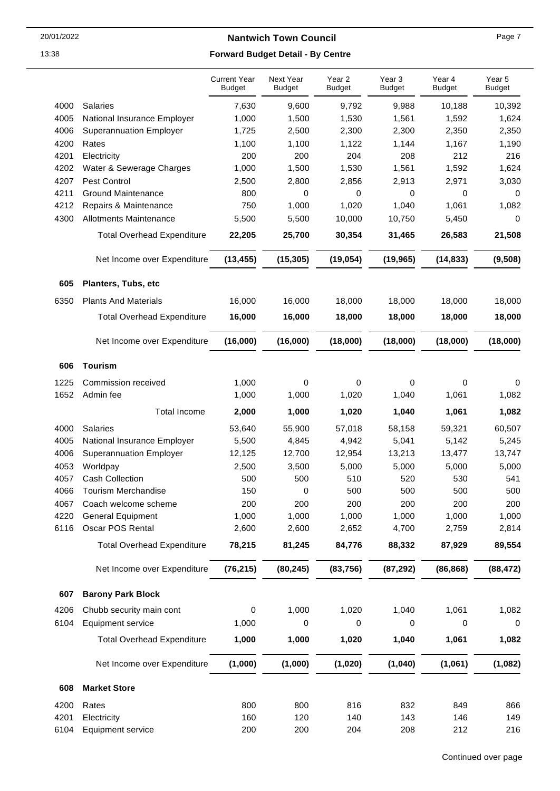Next Year

Year 2

Year 3

Year 4

## 13:38 **Forward Budget Detail - By Centre**

Current Year

|      |                                   | <b>Budget</b> | <b>Budget</b> | <b>Budget</b> | <b>Budget</b> | <b>Budget</b> | <b>Budget</b> |
|------|-----------------------------------|---------------|---------------|---------------|---------------|---------------|---------------|
| 4000 | <b>Salaries</b>                   | 7,630         | 9,600         | 9,792         | 9,988         | 10,188        | 10,392        |
| 4005 | National Insurance Employer       | 1,000         | 1,500         | 1,530         | 1,561         | 1,592         | 1,624         |
| 4006 | <b>Superannuation Employer</b>    | 1,725         | 2,500         | 2,300         | 2,300         | 2,350         | 2,350         |
| 4200 | Rates                             | 1,100         | 1,100         | 1,122         | 1,144         | 1,167         | 1,190         |
| 4201 | Electricity                       | 200           | 200           | 204           | 208           | 212           | 216           |
| 4202 | Water & Sewerage Charges          | 1,000         | 1,500         | 1,530         | 1,561         | 1,592         | 1,624         |
| 4207 | Pest Control                      | 2,500         | 2,800         | 2,856         | 2,913         | 2,971         | 3,030         |
| 4211 | <b>Ground Maintenance</b>         | 800           | 0             | 0             | 0             | 0             | 0             |
| 4212 | Repairs & Maintenance             | 750           | 1,000         | 1,020         | 1,040         | 1,061         | 1,082         |
| 4300 | <b>Allotments Maintenance</b>     | 5,500         | 5,500         | 10,000        | 10,750        | 5,450         | 0             |
|      | <b>Total Overhead Expenditure</b> | 22,205        | 25,700        | 30,354        | 31,465        | 26,583        | 21,508        |
|      | Net Income over Expenditure       | (13, 455)     | (15, 305)     | (19, 054)     | (19, 965)     | (14, 833)     | (9,508)       |
| 605  | Planters, Tubs, etc               |               |               |               |               |               |               |
| 6350 | <b>Plants And Materials</b>       | 16,000        | 16,000        | 18,000        | 18,000        | 18,000        | 18,000        |
|      | <b>Total Overhead Expenditure</b> | 16,000        | 16,000        | 18,000        | 18,000        | 18,000        | 18,000        |
|      | Net Income over Expenditure       | (16,000)      | (16,000)      | (18,000)      | (18,000)      | (18,000)      | (18,000)      |
| 606  | <b>Tourism</b>                    |               |               |               |               |               |               |
| 1225 | Commission received               | 1,000         | 0             | 0             | 0             | 0             | 0             |
| 1652 | Admin fee                         | 1,000         | 1,000         | 1,020         | 1,040         | 1,061         | 1,082         |
|      | <b>Total Income</b>               | 2,000         | 1,000         | 1,020         | 1,040         | 1,061         | 1,082         |
| 4000 | Salaries                          | 53,640        | 55,900        | 57,018        | 58,158        | 59,321        | 60,507        |
| 4005 | National Insurance Employer       | 5,500         | 4,845         | 4,942         | 5,041         | 5,142         | 5,245         |
| 4006 | <b>Superannuation Employer</b>    | 12,125        | 12,700        | 12,954        | 13,213        | 13,477        | 13,747        |
| 4053 | Worldpay                          | 2,500         | 3,500         | 5,000         | 5,000         | 5,000         | 5,000         |
| 4057 | <b>Cash Collection</b>            | 500           | 500           | 510           | 520           | 530           | 541           |
| 4066 | Tourism Merchandise               | 150           | 0             | 500           | 500           | 500           | 500           |
| 4067 | Coach welcome scheme              | 200           | 200           | 200           | 200           | 200           | 200           |
| 4220 | <b>General Equipment</b>          | 1,000         | 1,000         | 1,000         | 1,000         | 1,000         | 1,000         |
| 6116 | Oscar POS Rental                  | 2,600         | 2,600         | 2,652         | 4,700         | 2,759         | 2,814         |
|      | <b>Total Overhead Expenditure</b> | 78,215        | 81,245        | 84,776        | 88,332        | 87,929        | 89,554        |
|      | Net Income over Expenditure       | (76, 215)     | (80, 245)     | (83, 756)     | (87, 292)     | (86, 868)     | (88, 472)     |
| 607  | <b>Barony Park Block</b>          |               |               |               |               |               |               |
| 4206 | Chubb security main cont          | 0             | 1,000         | 1,020         | 1,040         | 1,061         | 1,082         |
| 6104 | <b>Equipment service</b>          | 1,000         | 0             | 0             | 0             | 0             | 0             |
|      | <b>Total Overhead Expenditure</b> | 1,000         | 1,000         | 1,020         | 1,040         | 1,061         | 1,082         |
|      |                                   |               |               |               |               |               |               |
|      | Net Income over Expenditure       | (1,000)       | (1,000)       | (1,020)       | (1,040)       | (1,061)       | (1,082)       |
| 608  | <b>Market Store</b>               |               |               |               |               |               |               |
| 4200 | Rates                             | 800           | 800           | 816           | 832           | 849           | 866           |
| 4201 | Electricity                       | 160           | 120           | 140           | 143           | 146           | 149           |
| 6104 | Equipment service                 | 200           | 200           | 204           | 208           | 212           | 216           |

Year 5